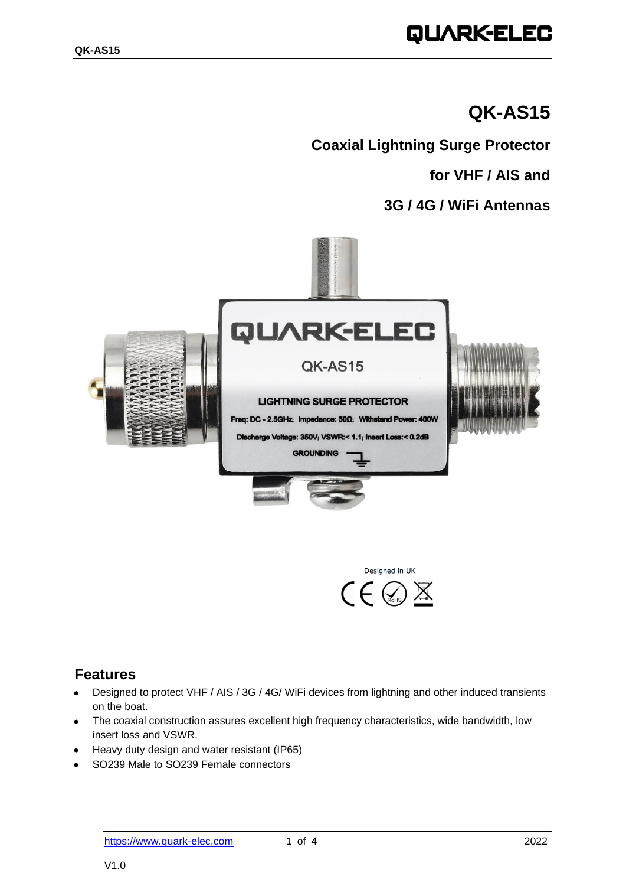# QUARK-ELEC

## **QK-AS15**

**Coaxial Lightning Surge Protector**

**for VHF / AIS and**

### **3G / 4G / WiFi Antennas**





### **Features**

- Designed to protect VHF / AIS / 3G / 4G/ WiFi devices from lightning and other induced transients on the boat.
- The coaxial construction assures excellent high frequency characteristics, wide bandwidth, low insert loss and VSWR.
- Heavy duty design and water resistant (IP65)
- SO239 Male to SO239 Female connectors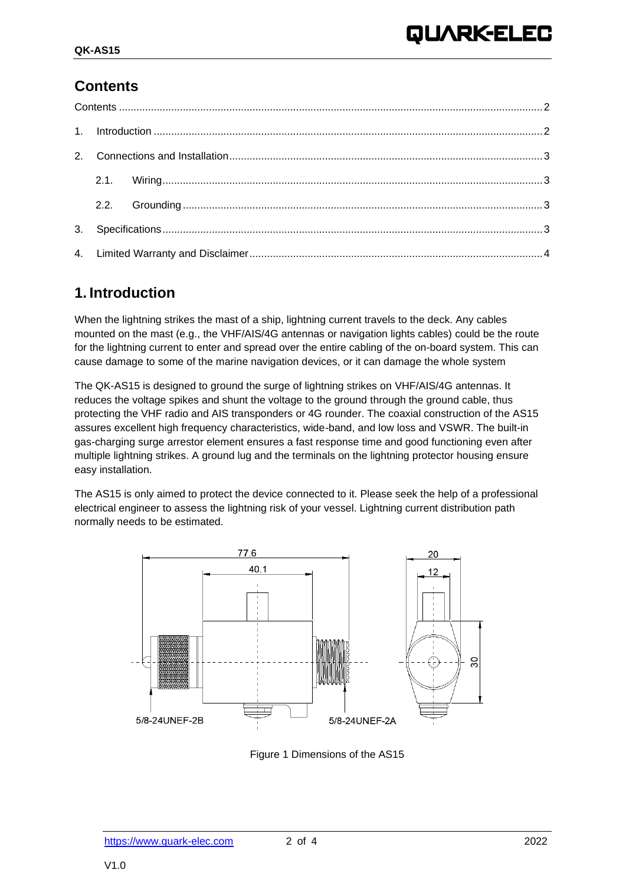### <span id="page-1-0"></span>**Contents**

### <span id="page-1-1"></span>**1. Introduction**

When the lightning strikes the mast of a ship, lightning current travels to the deck. Any cables mounted on the mast (e.g., the VHF/AIS/4G antennas or navigation lights cables) could be the route for the lightning current to enter and spread over the entire cabling of the on-board system. This can cause damage to some of the marine navigation devices, or it can damage the whole system

The QK-AS15 is designed to ground the surge of lightning strikes on VHF/AIS/4G antennas. It reduces the voltage spikes and shunt the voltage to the ground through the ground cable, thus protecting the VHF radio and AIS transponders or 4G rounder. The coaxial construction of the AS15 assures excellent high frequency characteristics, wide-band, and low loss and VSWR. The built-in gas-charging surge arrestor element ensures a fast response time and good functioning even after multiple lightning strikes. A ground lug and the terminals on the lightning protector housing ensure easy installation.

The AS15 is only aimed to protect the device connected to it. Please seek the help of a professional electrical engineer to assess the lightning risk of your vessel. Lightning current distribution path normally needs to be estimated.



Figure 1 Dimensions of the AS15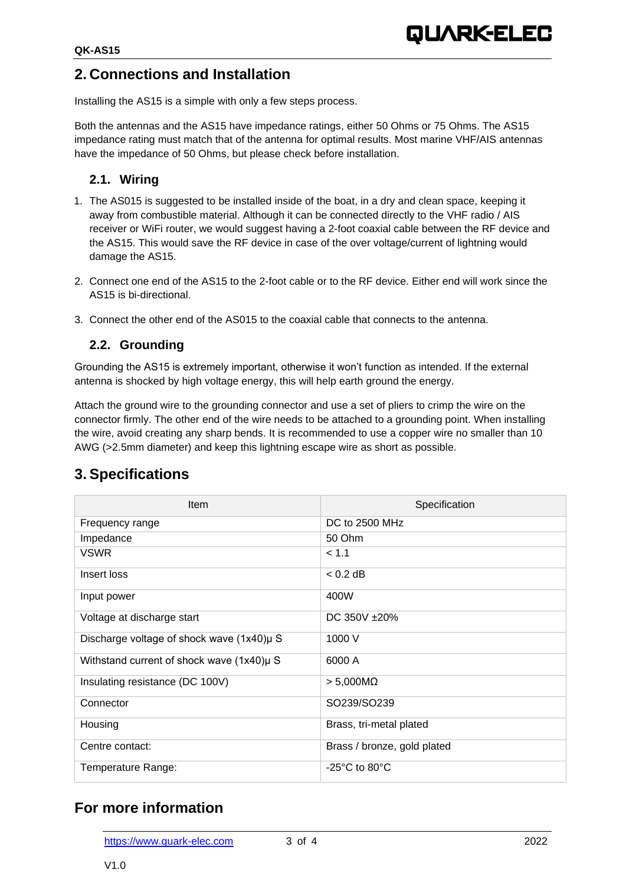### <span id="page-2-0"></span>**2. Connections and Installation**

Installing the AS15 is a simple with only a few steps process.

Both the antennas and the AS15 have impedance ratings, either 50 Ohms or 75 Ohms. The AS15 impedance rating must match that of the antenna for optimal results. Most marine VHF/AIS antennas have the impedance of 50 Ohms, but please check before installation.

#### <span id="page-2-1"></span>**2.1. Wiring**

- 1. The AS015 is suggested to be installed inside of the boat, in a dry and clean space, keeping it away from combustible material. Although it can be connected directly to the VHF radio / AIS receiver or WiFi router, we would suggest having a 2-foot coaxial cable between the RF device and the AS15. This would save the RF device in case of the over voltage/current of lightning would damage the AS15.
- 2. Connect one end of the AS15 to the 2-foot cable or to the RF device. Either end will work since the AS15 is bi-directional.
- 3. Connect the other end of the AS015 to the coaxial cable that connects to the antenna.

#### <span id="page-2-2"></span>**2.2. Grounding**

Grounding the AS15 is extremely important, otherwise it won't function as intended. If the external antenna is shocked by high voltage energy, this will help earth ground the energy.

Attach the ground wire to the grounding connector and use a set of pliers to crimp the wire on the connector firmly. The other end of the wire needs to be attached to a grounding point. When installing the wire, avoid creating any sharp bends. It is recommended to use a copper wire no smaller than 10 AWG (>2.5mm diameter) and keep this lightning escape wire as short as possible.

| <b>Item</b>                                   | Specification                      |
|-----------------------------------------------|------------------------------------|
| Frequency range                               | DC to 2500 MHz                     |
| Impedance                                     | 50 Ohm                             |
| <b>VSWR</b>                                   | < 1.1                              |
| Insert loss                                   | $< 0.2$ dB                         |
| Input power                                   | 400W                               |
| Voltage at discharge start                    | DC 350V ±20%                       |
| Discharge voltage of shock wave $(1x40)\mu S$ | 1000 V                             |
| Withstand current of shock wave (1x40)µ S     | 6000 A                             |
| Insulating resistance (DC 100V)               | $> 5,000M\Omega$                   |
| Connector                                     | SO239/SO239                        |
| Housing                                       | Brass, tri-metal plated            |
| Centre contact:                               | Brass / bronze, gold plated        |
| Temperature Range:                            | $-25^{\circ}$ C to 80 $^{\circ}$ C |

### <span id="page-2-3"></span>**3. Specifications**

### **For more information**

[https://www.quark-elec.com](https://www.quark-elec.com/) 3 of 4 2022